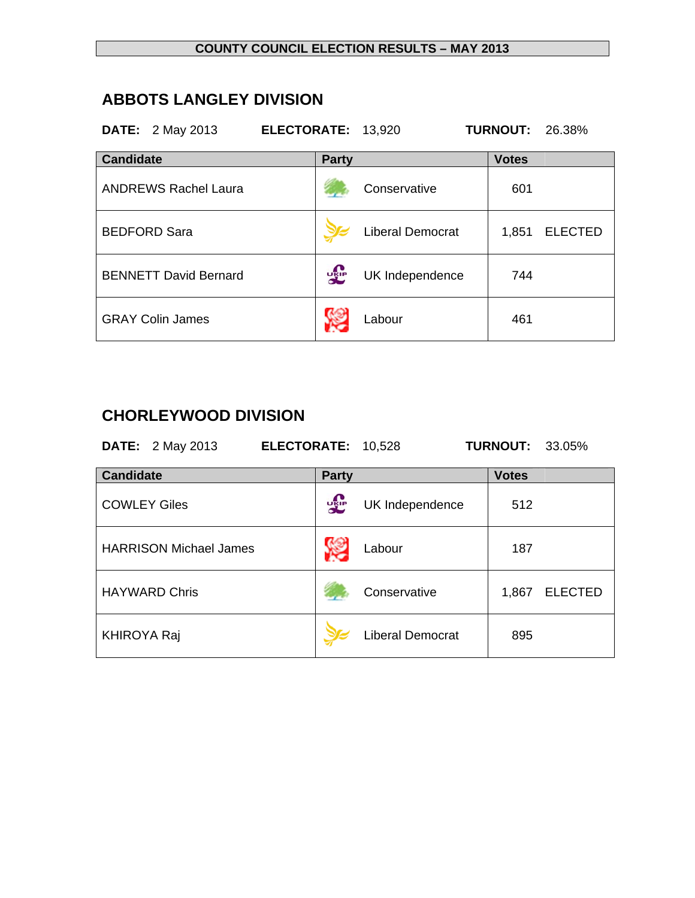#### **COUNTY COUNCIL ELECTION RESULTS – MAY 2013**

## **ABBOTS LANGLEY DIVISION**

| <b>DATE:</b> 2 May 2013 |  | ELECTORATE: 13,920 |  | <b>TURNOUT: 26.38%</b> |  |
|-------------------------|--|--------------------|--|------------------------|--|
|-------------------------|--|--------------------|--|------------------------|--|

| <b>Candidate</b>             | <b>Party</b> |                  | <b>Votes</b> |                |
|------------------------------|--------------|------------------|--------------|----------------|
| <b>ANDREWS Rachel Laura</b>  |              | Conservative     | 601          |                |
| <b>BEDFORD Sara</b>          |              | Liberal Democrat | 1,851        | <b>ELECTED</b> |
| <b>BENNETT David Bernard</b> | <b>DELP</b>  | UK Independence  | 744          |                |
| <b>GRAY Colin James</b>      |              | Labour           | 461          |                |

# **CHORLEYWOOD DIVISION**

**DATE:** 2 May 2013 **ELECTORATE:** 10,528 **TURNOUT:** 33.05%

| <b>Candidate</b>              | <b>Party</b>                  | <b>Votes</b>            |
|-------------------------------|-------------------------------|-------------------------|
| <b>COWLEY Giles</b>           | <b>JAP</b><br>UK Independence | 512                     |
| <b>HARRISON Michael James</b> | Labour                        | 187                     |
| <b>HAYWARD Chris</b>          | Conservative                  | <b>ELECTED</b><br>1,867 |
| <b>KHIROYA Raj</b>            | <b>Liberal Democrat</b>       | 895                     |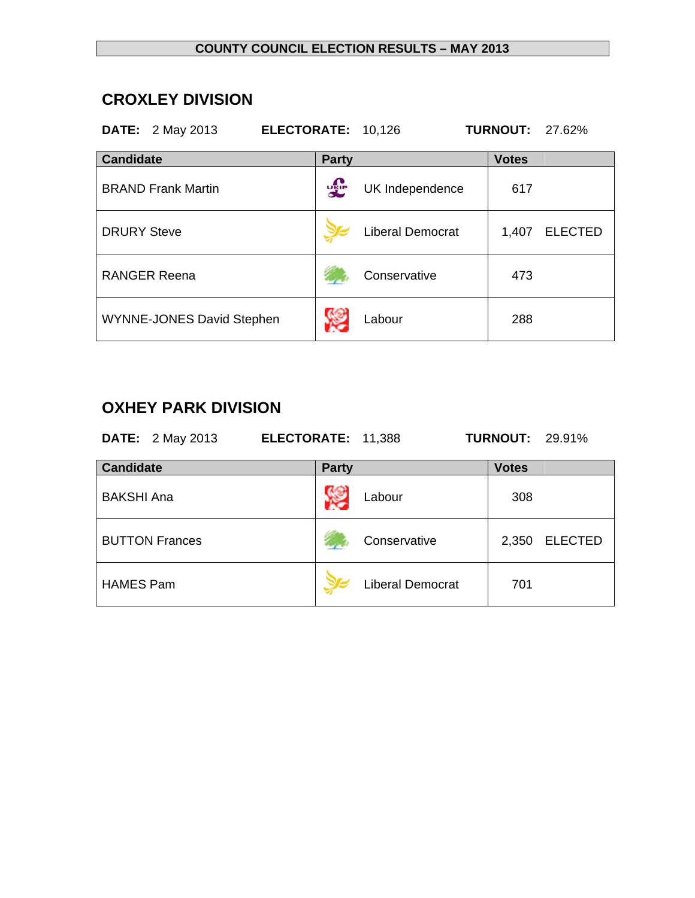#### **COUNTY COUNCIL ELECTION RESULTS – MAY 2013**

## **CROXLEY DIVISION**

| <b>DATE:</b> 2 May 2013          | ELECTORATE: 10,126 |                         | <b>TURNOUT:</b> | 27.62%         |
|----------------------------------|--------------------|-------------------------|-----------------|----------------|
| <b>Candidate</b>                 | <b>Party</b>       |                         | <b>Votes</b>    |                |
| <b>BRAND Frank Martin</b>        | 霏                  | UK Independence         | 617             |                |
| <b>DRURY Steve</b>               |                    | <b>Liberal Democrat</b> | 1,407           | <b>ELECTED</b> |
| <b>RANGER Reena</b>              |                    | Conservative            | 473             |                |
| <b>WYNNE-JONES David Stephen</b> |                    | Labour                  | 288             |                |

# **OXHEY PARK DIVISION**

| <b>DATE:</b> 2 May 2013 | ELECTORATE: 11,388 | <b>TURNOUT: 29.91%</b> |
|-------------------------|--------------------|------------------------|
| <b>Candidate</b>        | <b>Party</b>       | <b>Votes</b>           |

| <b>BAKSHI Ana</b>     | Labour                  | 308   |                |
|-----------------------|-------------------------|-------|----------------|
| <b>BUTTON Frances</b> | Conservative            | 2,350 | <b>ELECTED</b> |
| <b>HAMES Pam</b>      | <b>Liberal Democrat</b> | 701   |                |